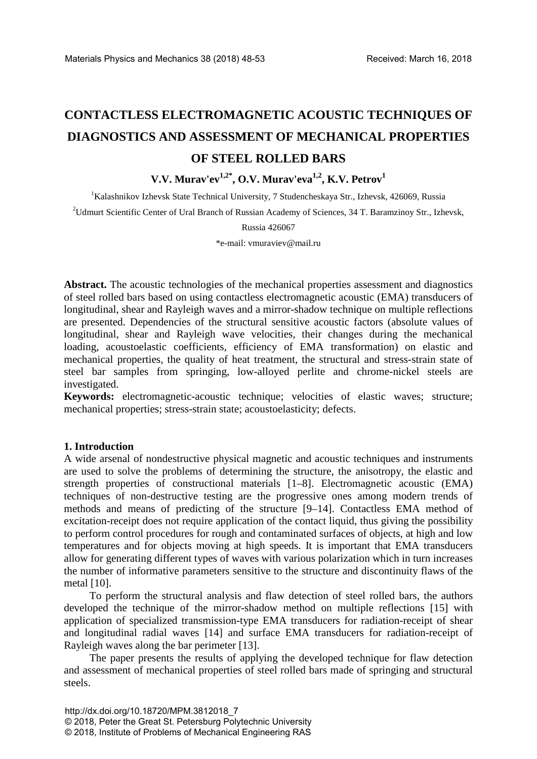# **CONTACTLESS ELECTROMAGNETIC ACOUSTIC TECHNIQUES OF DIAGNOSTICS AND ASSESSMENT OF MECHANICAL PROPERTIES OF STEEL ROLLED BARS**

# **V.V. Murav'ev1,2\* , O.V. Murav'eva1,2, K.V. Petrov1**

<sup>1</sup>Kalashnikov Izhevsk State Technical University, 7 Studencheskaya Str., Izhevsk, 426069, Russia

<sup>2</sup>Udmurt Scientific Center of Ural Branch of Russian Academy of Sciences, 34 T. Baramzinoy Str., Izhevsk,

Russia 426067

\*e-mail: vmuraviev@mail.ru

Abstract. The acoustic technologies of the mechanical properties assessment and diagnostics of steel rolled bars based on using contactless electromagnetic acoustic (EMA) transducers of longitudinal, shear and Rayleigh waves and a mirror-shadow technique on multiple reflections are presented. Dependencies of the structural sensitive acoustic factors (absolute values of longitudinal, shear and Rayleigh wave velocities, their changes during the mechanical loading, acoustoelastic coefficients, efficiency of EMA transformation) on elastic and mechanical properties, the quality of heat treatment, the structural and stress-strain state of steel bar samples from springing, low-alloyed perlite and chrome-nickel steels are investigated.

**Keywords:** electromagnetic-acoustic technique; velocities of elastic waves; structure; mechanical properties; stress-strain state; acoustoelasticity; defects.

### **1. Introduction**

A wide arsenal of nondestructive physical magnetic and acoustic techniques and instruments are used to solve the problems of determining the structure, the anisotropy, the elastic and strength properties of constructional materials [1–8]. Electromagnetic acoustic (EMA) techniques of non-destructive testing are the progressive ones among modern trends of methods and means of predicting of the structure [9–14]. Contactless EMA method of excitation-receipt does not require application of the contact liquid, thus giving the possibility to perform control procedures for rough and contaminated surfaces of objects, at high and low temperatures and for objects moving at high speeds. It is important that EMA transducers allow for generating different types of waves with various polarization which in turn increases the number of informative parameters sensitive to the structure and discontinuity flaws of the metal [10].

To perform the structural analysis and flaw detection of steel rolled bars, the authors developed the technique of the mirror-shadow method on multiple reflections [15] with application of specialized transmission-type EMA transducers for radiation-receipt of shear and longitudinal radial waves [14] and surface EMA transducers for radiation-receipt of Rayleigh waves along the bar perimeter [13].

The paper presents the results of applying the developed technique for flaw detection and assessment of mechanical properties of steel rolled bars made of springing and structural steels.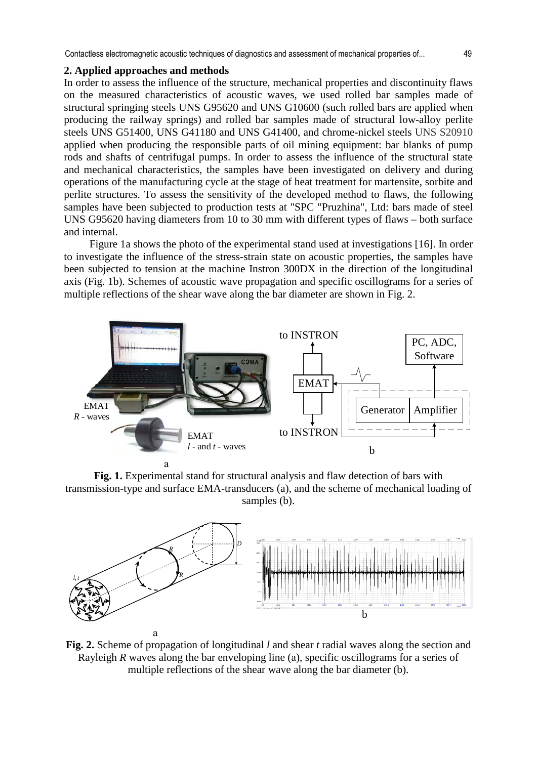#### **2. Applied approaches and methods**

In order to assess the influence of the structure, mechanical properties and discontinuity flaws on the measured characteristics of acoustic waves, we used rolled bar samples made of structural springing steels UNS G95620 and UNS G10600 (such rolled bars are applied when producing the railway springs) and rolled bar samples made of structural low-alloy perlite steels UNS G51400, UNS G41180 and UNS G41400, and chrome-nickel steels UNS S20910 applied when producing the responsible parts of oil mining equipment: bar blanks of pump rods and shafts of centrifugal pumps. In order to assess the influence of the structural state and mechanical characteristics, the samples have been investigated on delivery and during operations of the manufacturing cycle at the stage of heat treatment for martensite, sorbite and perlite structures. To assess the sensitivity of the developed method to flaws, the following samples have been subjected to production tests at "SPC "Pruzhina", Ltd: bars made of steel UNS G95620 having diameters from 10 to 30 mm with different types of flaws – both surface and internal.

Figure 1a shows the photo of the experimental stand used at investigations [16]. In order to investigate the influence of the stress-strain state on acoustic properties, the samples have been subjected to tension at the machine Instron 300DX in the direction of the longitudinal axis (Fig. 1b). Schemes of acoustic wave propagation and specific oscillograms for a series of multiple reflections of the shear wave along the bar diameter are shown in Fig. 2.



**Fig. 1.** Experimental stand for structural analysis and flaw detection of bars with transmission-type and surface EMA-transducers (a), and the scheme of mechanical loading of samples (b).



**Fig. 2.** Scheme of propagation of longitudinal *l* and shear *t* radial waves along the section and Rayleigh *R* waves along the bar enveloping line (a), specific oscillograms for a series of multiple reflections of the shear wave along the bar diameter (b).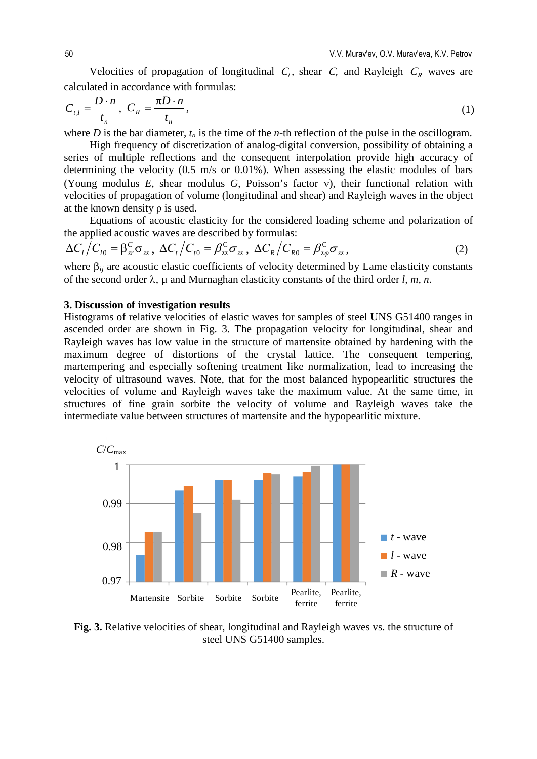Velocities of propagation of longitudinal  $C_l$ , shear  $C_t$  and Rayleigh  $C_R$  waves are calculated in accordance with formulas:

$$
C_{t,l} = \frac{D \cdot n}{t_n}, \ C_R = \frac{\pi D \cdot n}{t_n}, \tag{1}
$$

where *D* is the bar diameter,  $t_n$  is the time of the *n*-th reflection of the pulse in the oscillogram.

High frequency of discretization of analog-digital conversion, possibility of obtaining a series of multiple reflections and the consequent interpolation provide high accuracy of determining the velocity (0.5 m/s or 0.01%). When assessing the elastic modules of bars (Young modulus *E*, shear modulus *G*, Poisson's factor ν), their functional relation with velocities of propagation of volume (longitudinal and shear) and Rayleigh waves in the object at the known density  $\rho$  is used.

Equations of acoustic elasticity for the considered loading scheme and polarization of the applied acoustic waves are described by formulas:

$$
\Delta C_t / C_{t0} = \beta_{\rm zr}^{\rm C} \sigma_{\rm zz} , \ \Delta C_t / C_{t0} = \beta_{\rm zz}^{\rm C} \sigma_{\rm zz} , \ \Delta C_R / C_{R0} = \beta_{\rm z\varphi}^{\rm C} \sigma_{\rm zz} , \tag{2}
$$

where  $\beta_{ij}$  are acoustic elastic coefficients of velocity determined by Lame elasticity constants of the second order λ, µ and Murnaghan elasticity constants of the third order *l, m, n*.

## **3. Discussion of investigation results**

Histograms of relative velocities of elastic waves for samples of steel UNS G51400 ranges in ascended order are shown in Fig. 3. The propagation velocity for longitudinal, shear and Rayleigh waves has low value in the structure of martensite obtained by hardening with the maximum degree of distortions of the crystal lattice. The consequent tempering, martempering and especially softening treatment like normalization, lead to increasing the velocity of ultrasound waves. Note, that for the most balanced hypopearlitic structures the velocities of volume and Rayleigh waves take the maximum value. At the same time, in structures of fine grain sorbite the velocity of volume and Rayleigh waves take the intermediate value between structures of martensite and the hypopearlitic mixture.



**Fig. 3.** Relative velocities of shear, longitudinal and Rayleigh waves vs. the structure of steel UNS G51400 samples.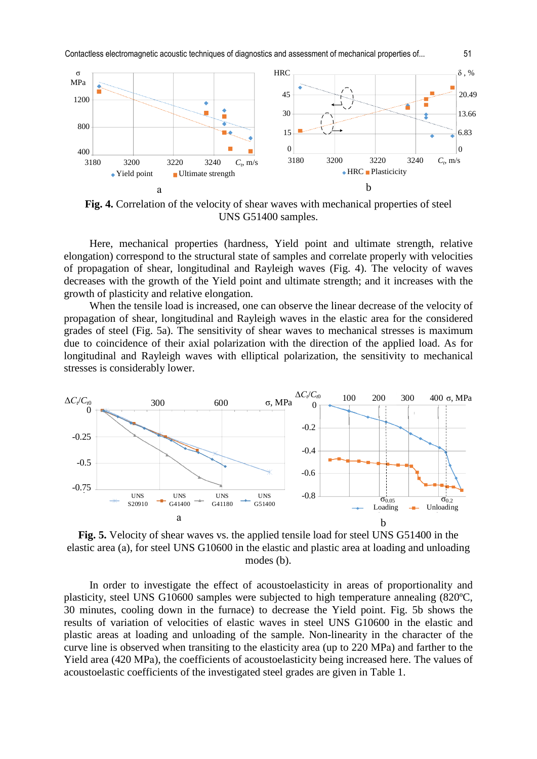Contactless electromagnetic acoustic techniques of diagnostics and assessment of mechanical properties of... 51



**Fig. 4.** Correlation of the velocity of shear waves with mechanical properties of steel UNS G51400 samples.

Here, mechanical properties (hardness, Yield point and ultimate strength, relative elongation) correspond to the structural state of samples and correlate properly with velocities of propagation of shear, longitudinal and Rayleigh waves (Fig. 4). The velocity of waves decreases with the growth of the Yield point and ultimate strength; and it increases with the growth of plasticity and relative elongation.

When the tensile load is increased, one can observe the linear decrease of the velocity of propagation of shear, longitudinal and Rayleigh waves in the elastic area for the considered grades of steel (Fig. 5a). The sensitivity of shear waves to mechanical stresses is maximum due to coincidence of their axial polarization with the direction of the applied load. As for longitudinal and Rayleigh waves with elliptical polarization, the sensitivity to mechanical stresses is considerably lower.



**Fig. 5.** Velocity of shear waves vs. the applied tensile load for steel UNS G51400 in the elastic area (а), for steel UNS G10600 in the elastic and plastic area at loading and unloading modes (b).

In order to investigate the effect of acoustoelasticity in areas of proportionality and plasticity, steel UNS G10600 samples were subjected to high temperature annealing (820ºC, 30 minutes, cooling down in the furnace) to decrease the Yield point. Fig. 5b shows the results of variation of velocities of elastic waves in steel UNS G10600 in the elastic and plastic areas at loading and unloading of the sample. Non-linearity in the character of the curve line is observed when transiting to the elasticity area (up to 220 МPа) and farther to the Yield area (420 МPа), the coefficients of acoustoelasticity being increased here. The values of acoustoelastic coefficients of the investigated steel grades are given in Table 1.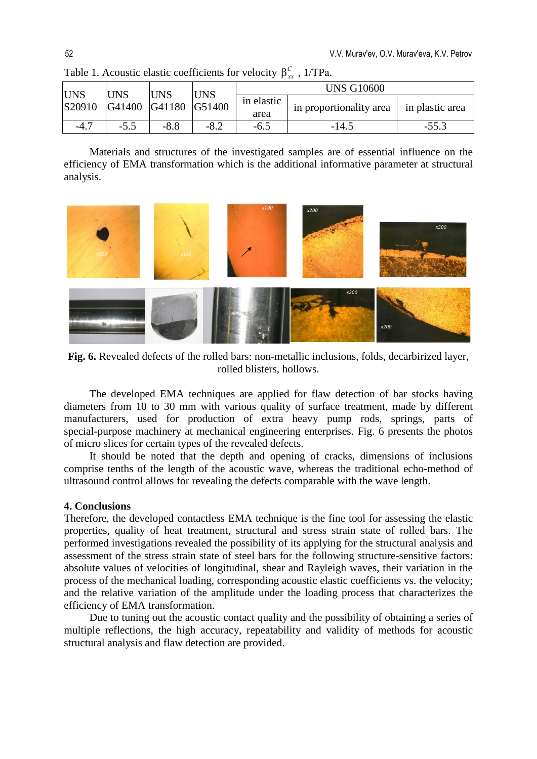| <b>IUNS</b> | <b>UNS</b><br>S20910 G41400 G41180 G51400 | <b>UNS</b> | <b>UNS</b> | <b>UNS G10600</b>  |                         |                 |
|-------------|-------------------------------------------|------------|------------|--------------------|-------------------------|-----------------|
|             |                                           |            |            | in elastic<br>area | in proportionality area | in plastic area |
| $-4.$ .     | $-5.5$                                    | $-8.8$     | $-8.2$     | $-6.5$             | $-14.5$                 | $-55.3$         |

Table 1. Acoustic elastic coefficients for velocity  $\beta_{rr}^C$ , 1/TPa.

Materials and structures of the investigated samples are of essential influence on the efficiency of EMA transformation which is the additional informative parameter at structural analysis.



**Fig. 6.** Revealed defects of the rolled bars: non-metallic inclusions, folds, decarbirized layer, rolled blisters, hollows.

The developed EMA techniques are applied for flaw detection of bar stocks having diameters from 10 to 30 mm with various quality of surface treatment, made by different manufacturers, used for production of extra heavy pump rods, springs, parts of special-purpose machinery at mechanical engineering enterprises. Fig. 6 presents the photos of micro slices for certain types of the revealed defects.

It should be noted that the depth and opening of cracks, dimensions of inclusions comprise tenths of the length of the acoustic wave, whereas the traditional echo-method of ultrasound control allows for revealing the defects comparable with the wave length.

#### **4. Conclusions**

Therefore, the developed contactless EMA technique is the fine tool for assessing the elastic properties, quality of heat treatment, structural and stress strain state of rolled bars. The performed investigations revealed the possibility of its applying for the structural analysis and assessment of the stress strain state of steel bars for the following structure-sensitive factors: absolute values of velocities of longitudinal, shear and Rayleigh waves, their variation in the process of the mechanical loading, corresponding acoustic elastic coefficients vs. the velocity; and the relative variation of the amplitude under the loading process that characterizes the efficiency of EMA transformation.

Due to tuning out the acoustic contact quality and the possibility of obtaining a series of multiple reflections, the high accuracy, repeatability and validity of methods for acoustic structural analysis and flaw detection are provided.